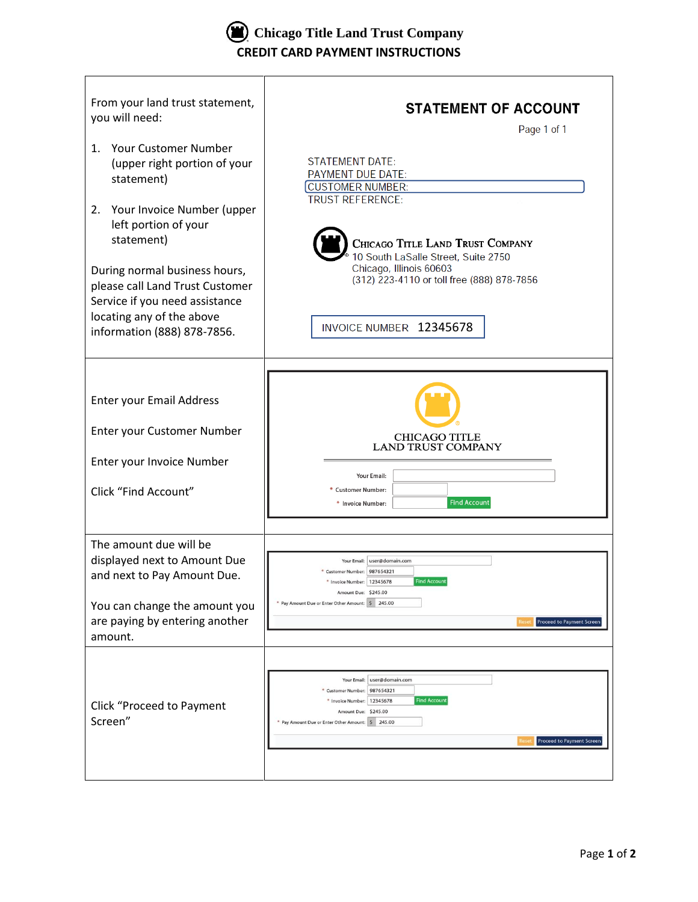**Chicago Title Land Trust Company CREDIT CARD PAYMENT INSTRUCTIONS**

| From your land trust statement,<br>you will need:<br><b>Your Customer Number</b><br>$\mathbf{1}$ .<br>(upper right portion of your<br>statement)<br>Your Invoice Number (upper<br>2.<br>left portion of your<br>statement)<br>During normal business hours,<br>please call Land Trust Customer | <b>STATEMENT OF ACCOUNT</b><br>Page 1 of 1<br><b>STATEMENT DATE:</b><br>PAYMENT DUE DATE:<br><b>CUSTOMER NUMBER:</b><br><b>TRUST REFERENCE:</b><br>CHICAGO TITLE LAND TRUST COMPANY<br>10 South LaSalle Street, Suite 2750<br>Chicago, Illinois 60603<br>(312) 223-4110 or toll free (888) 878-7856 |
|------------------------------------------------------------------------------------------------------------------------------------------------------------------------------------------------------------------------------------------------------------------------------------------------|-----------------------------------------------------------------------------------------------------------------------------------------------------------------------------------------------------------------------------------------------------------------------------------------------------|
| Service if you need assistance<br>locating any of the above<br>information (888) 878-7856.                                                                                                                                                                                                     | INVOICE NUMBER 12345678                                                                                                                                                                                                                                                                             |
| <b>Enter your Email Address</b><br>Enter your Customer Number<br>Enter your Invoice Number<br>Click "Find Account"                                                                                                                                                                             | <b>CHICAGO TITLE</b><br><b>LAND TRUST COMPANY</b><br>Your Email:<br>* Customer Number:<br><b>Find Account</b><br>* Invoice Number:                                                                                                                                                                  |
| The amount due will be<br>displayed next to Amount Due<br>and next to Pay Amount Due.<br>You can change the amount you<br>are paying by entering another<br>amount.                                                                                                                            | Your Email: user@domain.com<br>* Customer Number: 987654321<br><b>Find Account</b><br>* Invoice Number: 12345678<br>Amount Due: \$245.00<br>* Pay Amount Due or Enter Other Amount: \$ 245.00<br>Proceed to Payment Screen                                                                          |
| Click "Proceed to Payment<br>Screen"                                                                                                                                                                                                                                                           | user@domain.com<br>Your Email:<br>987654321<br>* Customer Number:<br><b>Find Account</b><br>* Invoice Number:<br>12345678<br>Amount Due: \$245.00<br>* Pay Amount Due or Enter Other Amount: \$ 245.00<br>Proceed to Payment Screen                                                                 |